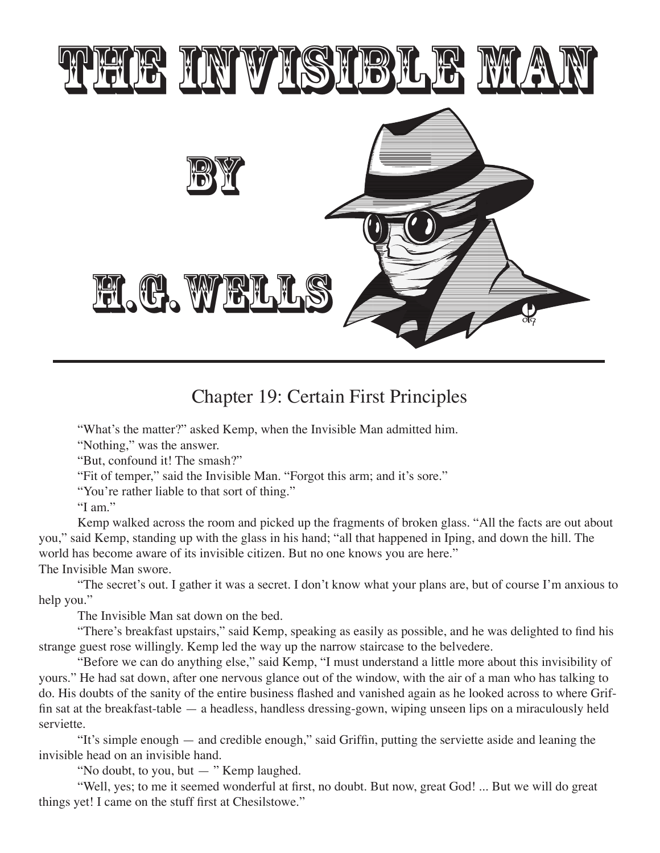

## Chapter 19: Certain First Principles

"What's the matter?" asked Kemp, when the Invisible Man admitted him.

"Nothing," was the answer.

"But, confound it! The smash?"

"Fit of temper," said the Invisible Man. "Forgot this arm; and it's sore."

"You're rather liable to that sort of thing."

"I am."

Kemp walked across the room and picked up the fragments of broken glass. "All the facts are out about you," said Kemp, standing up with the glass in his hand; "all that happened in Iping, and down the hill. The world has become aware of its invisible citizen. But no one knows you are here." The Invisible Man swore.

"The secret's out. I gather it was a secret. I don't know what your plans are, but of course I'm anxious to help you."

The Invisible Man sat down on the bed.

 "There's breakfast upstairs," said Kemp, speaking as easily as possible, and he was delighted to find his strange guest rose willingly. Kemp led the way up the narrow staircase to the belvedere.

"Before we can do anything else," said Kemp, "I must understand a little more about this invisibility of yours." He had sat down, after one nervous glance out of the window, with the air of a man who has talking to do. His doubts of the sanity of the entire business flashed and vanished again as he looked across to where Griffin sat at the breakfast-table — a headless, handless dressing-gown, wiping unseen lips on a miraculously held serviette.

 "It's simple enough — and credible enough," said Griffin, putting the serviette aside and leaning the invisible head on an invisible hand.

 "No doubt, to you, but — " Kemp laughed.

 "Well, yes; to me it seemed wonderful at first, no doubt. But now, great God! ... But we will do great things yet! I came on the stuff first at Chesilstowe."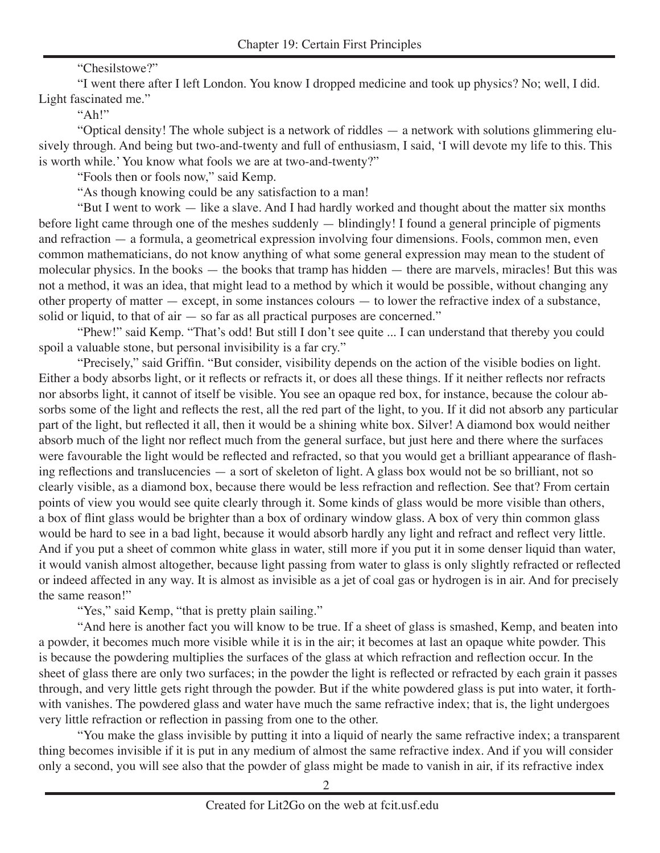## "Chesilstowe?"

"I went there after I left London. You know I dropped medicine and took up physics? No; well, I did. Light fascinated me."

 $"Ah!"$ 

 "Optical density! The whole subject is a network of riddles — a network with solutions glimmering elusively through. And being but two-and-twenty and full of enthusiasm, I said, 'I will devote my life to this. This is worth while.' You know what fools we are at two-and-twenty?"

"Fools then or fools now," said Kemp.

"As though knowing could be any satisfaction to a man!

 "But I went to work — like a slave. And I had hardly worked and thought about the matter six months before light came through one of the meshes suddenly — blindingly! I found a general principle of pigments and refraction — a formula, a geometrical expression involving four dimensions. Fools, common men, even common mathematicians, do not know anything of what some general expression may mean to the student of molecular physics. In the books — the books that tramp has hidden — there are marvels, miracles! But this was not a method, it was an idea, that might lead to a method by which it would be possible, without changing any other property of matter — except, in some instances colours — to lower the refractive index of a substance, solid or liquid, to that of air — so far as all practical purposes are concerned."

"Phew!" said Kemp. "That's odd! But still I don't see quite ... I can understand that thereby you could spoil a valuable stone, but personal invisibility is a far cry."

 "Precisely," said Griffin. "But consider, visibility depends on the action of the visible bodies on light. Either a body absorbs light, or it reflects or refracts it, or does all these things. If it neither reflects nor refracts nor absorbs light, it cannot of itself be visible. You see an opaque red box, for instance, because the colour absorbs some of the light and reflects the rest, all the red part of the light, to you. If it did not absorb any particular part of the light, but reflected it all, then it would be a shining white box. Silver! A diamond box would neither absorb much of the light nor reflect much from the general surface, but just here and there where the surfaces were favourable the light would be reflected and refracted, so that you would get a brilliant appearance of flashing reflections and translucencies — a sort of skeleton of light. A glass box would not be so brilliant, not so clearly visible, as a diamond box, because there would be less refraction and reflection. See that? From certain points of view you would see quite clearly through it. Some kinds of glass would be more visible than others, a box of flint glass would be brighter than a box of ordinary window glass. A box of very thin common glass would be hard to see in a bad light, because it would absorb hardly any light and refract and reflect very little. And if you put a sheet of common white glass in water, still more if you put it in some denser liquid than water, it would vanish almost altogether, because light passing from water to glass is only slightly refracted or reflected or indeed affected in any way. It is almost as invisible as a jet of coal gas or hydrogen is in air. And for precisely the same reason!"

"Yes," said Kemp, "that is pretty plain sailing."

"And here is another fact you will know to be true. If a sheet of glass is smashed, Kemp, and beaten into a powder, it becomes much more visible while it is in the air; it becomes at last an opaque white powder. This is because the powdering multiplies the surfaces of the glass at which refraction and reflection occur. In the sheet of glass there are only two surfaces; in the powder the light is reflected or refracted by each grain it passes through, and very little gets right through the powder. But if the white powdered glass is put into water, it forthwith vanishes. The powdered glass and water have much the same refractive index; that is, the light undergoes very little refraction or reflection in passing from one to the other.

"You make the glass invisible by putting it into a liquid of nearly the same refractive index; a transparent thing becomes invisible if it is put in any medium of almost the same refractive index. And if you will consider only a second, you will see also that the powder of glass might be made to vanish in air, if its refractive index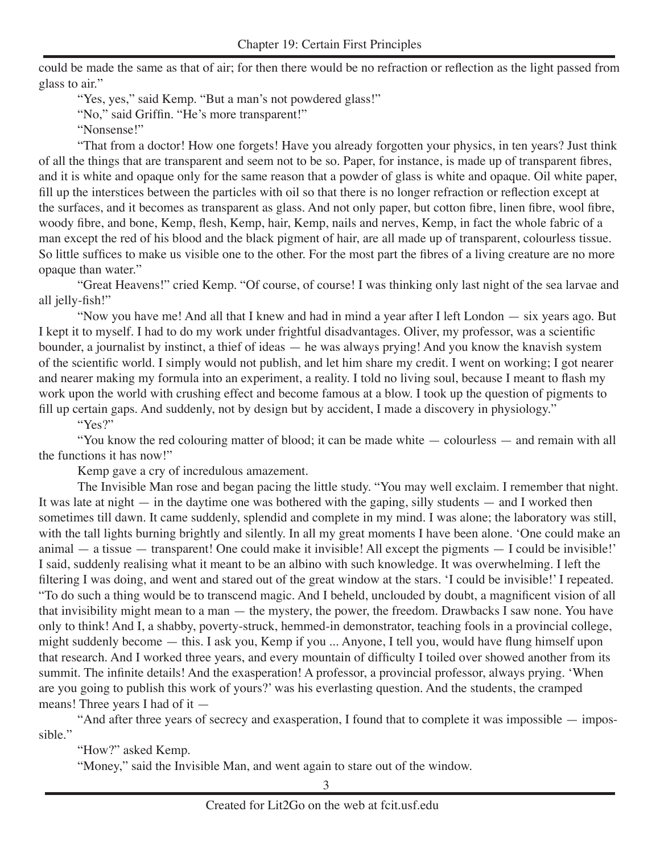could be made the same as that of air; for then there would be no refraction or reflection as the light passed from glass to air."

"Yes, yes," said Kemp. "But a man's not powdered glass!"

 "No," said Griffin. "He's more transparent!"

"Nonsense!"

"That from a doctor! How one forgets! Have you already forgotten your physics, in ten years? Just think of all the things that are transparent and seem not to be so. Paper, for instance, is made up of transparent fibres, and it is white and opaque only for the same reason that a powder of glass is white and opaque. Oil white paper, fill up the interstices between the particles with oil so that there is no longer refraction or reflection except at the surfaces, and it becomes as transparent as glass. And not only paper, but cotton fibre, linen fibre, wool fibre, woody fibre, and bone, Kemp, flesh, Kemp, hair, Kemp, nails and nerves, Kemp, in fact the whole fabric of a man except the red of his blood and the black pigment of hair, are all made up of transparent, colourless tissue. So little suffices to make us visible one to the other. For the most part the fibres of a living creature are no more opaque than water."

 "Great Heavens!" cried Kemp. "Of course, of course! I was thinking only last night of the sea larvae and all jelly-fish!"

 "Now you have me! And all that I knew and had in mind a year after I left London — six years ago. But I kept it to myself. I had to do my work under frightful disadvantages. Oliver, my professor, was a scientific bounder, a journalist by instinct, a thief of ideas — he was always prying! And you know the knavish system of the scientific world. I simply would not publish, and let him share my credit. I went on working; I got nearer and nearer making my formula into an experiment, a reality. I told no living soul, because I meant to flash my work upon the world with crushing effect and become famous at a blow. I took up the question of pigments to fill up certain gaps. And suddenly, not by design but by accident, I made a discovery in physiology."

"Yes?"

 "You know the red colouring matter of blood; it can be made white — colourless — and remain with all the functions it has now!"

Kemp gave a cry of incredulous amazement.

The Invisible Man rose and began pacing the little study. "You may well exclaim. I remember that night. It was late at night — in the daytime one was bothered with the gaping, silly students — and I worked then sometimes till dawn. It came suddenly, splendid and complete in my mind. I was alone; the laboratory was still, with the tall lights burning brightly and silently. In all my great moments I have been alone. 'One could make an animal — a tissue — transparent! One could make it invisible! All except the pigments — I could be invisible!' I said, suddenly realising what it meant to be an albino with such knowledge. It was overwhelming. I left the filtering I was doing, and went and stared out of the great window at the stars. 'I could be invisible!' I repeated. "To do such a thing would be to transcend magic. And I beheld, unclouded by doubt, a magnificent vision of all that invisibility might mean to a man — the mystery, the power, the freedom. Drawbacks I saw none. You have only to think! And I, a shabby, poverty-struck, hemmed-in demonstrator, teaching fools in a provincial college, might suddenly become — this. I ask you, Kemp if you ... Anyone, I tell you, would have flung himself upon that research. And I worked three years, and every mountain of difficulty I toiled over showed another from its summit. The infinite details! And the exasperation! A professor, a provincial professor, always prying. 'When are you going to publish this work of yours?' was his everlasting question. And the students, the cramped means! Three years I had of it —

 "And after three years of secrecy and exasperation, I found that to complete it was impossible — impossible."

"How?" asked Kemp.

"Money," said the Invisible Man, and went again to stare out of the window.